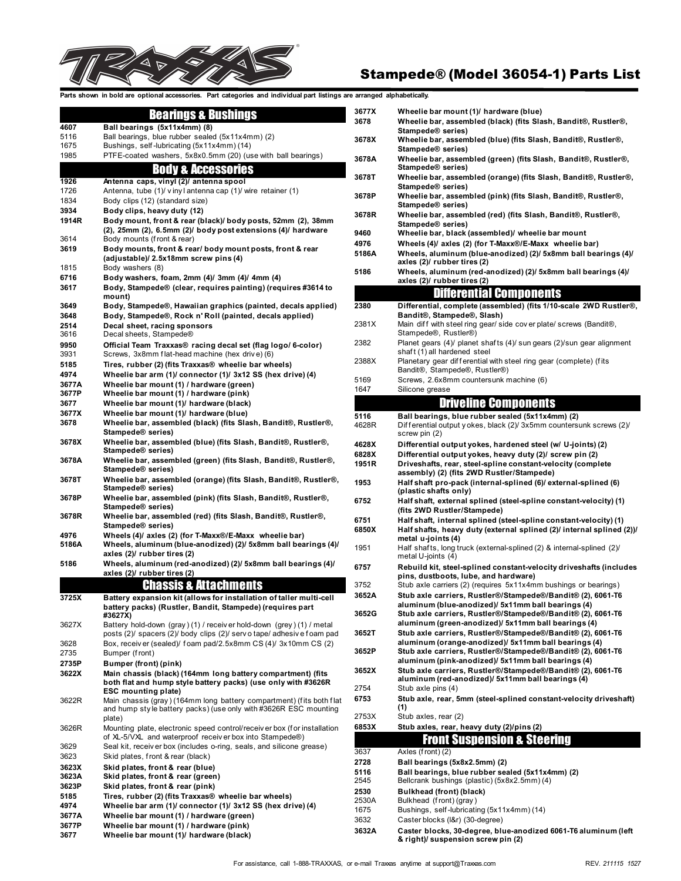

# Stampede® (Model 36054-1) Parts List

Parts shown in bold are optional accessories. Part categories and individual part listings are arra

#### Bearings & Bushings

| 4607           | Ball bearings (5x11x4mm) (8)                                                                                                     |
|----------------|----------------------------------------------------------------------------------------------------------------------------------|
| 5116           | Ball bearings, blue rubber sealed (5x11x4mm) (2)                                                                                 |
| 1675           | Bushings, self-lubricating (5x11x4mm) (14)                                                                                       |
| 1985           | PTFE-coated washers, 5x8x0.5mm (20) (use with ball bearings)                                                                     |
|                | <b>Body &amp; Accessories</b>                                                                                                    |
|                |                                                                                                                                  |
| 1926           | Antenna caps, vinyl (2)/ antenna spool                                                                                           |
| 1726<br>1834   | Antenna, tube (1)/ vinyl antenna cap (1)/ wire retainer (1)<br>Body clips (12) (standard size)                                   |
| 3934           | Body clips, heavy duty (12)                                                                                                      |
| 1914R          | Body mount, front & rear (black)/ body posts, 52mm (2), 38mm                                                                     |
|                | (2), 25mm (2), 6.5mm (2)/ body post extensions (4)/ hardware                                                                     |
| 3614           | Body mounts (front & rear)                                                                                                       |
| 3619           | Body mounts, front & rear/body mount posts, front & rear                                                                         |
|                | (adjustable)/ 2.5x18mm screw pins (4)                                                                                            |
| 1815           | Body washers (8)                                                                                                                 |
| 6716<br>3617   | Body washers, foam, 2mm (4)/ 3mm (4)/ 4mm (4)<br>Body, Stampede® (clear, requires painting) (requires #3614 to                   |
|                | mount)                                                                                                                           |
| 3649           | Body, Stampede®, Hawaiian graphics (painted, decals applied)                                                                     |
| 3648           | Body, Stampede®, Rock n' Roll (painted, decals applied)                                                                          |
| 2514           | Decal sheet, racing sponsors                                                                                                     |
| 3616           | Decal sheets, Stampede®                                                                                                          |
| 9950           | Official Team Traxxas® racing decal set (flag logo/ 6-color)                                                                     |
| 3931           | Screws, 3x8mm flat-head machine (hex drive) (6)                                                                                  |
| 5185           | Tires, rubber (2) (fits Traxxas® wheelie bar wheels)                                                                             |
| 4974           | Wheelie bar arm (1)/ connector (1)/ 3x12 SS (hex drive) (4)                                                                      |
| 3677A<br>3677P | Wheelie bar mount (1) / hardware (green)<br>Wheelie bar mount (1) / hardware (pink)                                              |
| 3677           | Wheelie bar mount (1)/ hardware (black)                                                                                          |
| 3677X          | Wheelie bar mount (1)/ hardware (blue)                                                                                           |
| 3678           | Wheelie bar, assembled (black) (fits Slash, Bandit®, Rustler®,                                                                   |
|                | Stampede® series)                                                                                                                |
| 3678X          | Wheelie bar, assembled (blue) (fits Slash, Bandit®, Rustler®,                                                                    |
| 3678A          | Stampede® series)<br>Wheelie bar, assembled (green) (fits Slash, Bandit®, Rustler®,                                              |
|                | Stampede® series)                                                                                                                |
| 3678T          | Wheelie bar, assembled (orange) (fits Slash, Bandit®, Rustler®,                                                                  |
|                | Stampede® series)                                                                                                                |
| 3678P          | Wheelie bar, assembled (pink) (fits Slash, Bandit®, Rustler®,                                                                    |
|                | Stampede® series)                                                                                                                |
| 3678R          | Wheelie bar, assembled (red) (fits Slash, Bandit®, Rustler®,<br>Stampede® series)                                                |
| 4976           | Wheels (4)/ axles (2) (for T-Maxx®/E-Maxx wheelie bar)                                                                           |
| 5186A          | Wheels, aluminum (blue-anodized) (2)/ 5x8mm ball bearings (4)/                                                                   |
|                | axles (2)/ rubber tires (2)                                                                                                      |
| 5186           | Wheels, aluminum (red-anodized) (2)/ 5x8mm ball bearings (4)/                                                                    |
|                | axles (2)/ rubber tires (2)                                                                                                      |
|                | <b>Chassis &amp; Attachments</b>                                                                                                 |
| 3725X          | Battery expansion kit (allows for installation of taller multi-cell                                                              |
|                | battery packs) (Rustler, Bandit, Stampede) (requires part<br>#3627X)                                                             |
| 3627X          | Battery hold-down (gray) (1) / receiv er hold-down (grey) (1) / metal                                                            |
|                | posts (2)/ spacers (2)/ body clips (2)/ serv o tape/ adhesive foam pad                                                           |
| 3628           | Box, receiver (sealed)/ foam pad/2.5x8mm CS (4)/ 3x10mm CS (2)                                                                   |
| 2735           | Bumper (front)                                                                                                                   |
| 2735P          | Bumper (front) (pink)                                                                                                            |
| 3622X          | Main chassis (black) (164mm long battery compartment) (fits                                                                      |
|                | both flat and hump style battery packs) (use only with #3626R<br><b>ESC mounting plate)</b>                                      |
| 3622R          | Main chassis (gray) (164mm long battery compartment) (fits both flat                                                             |
|                | and hump style battery packs) (use only with #3626R ESC mounting                                                                 |
|                | plate)                                                                                                                           |
| 3626R          | Mounting plate, electronic speed control/receiver box (for installation                                                          |
| 3629           | of XL-5/VXL and waterproof receiver box into Stampede®)<br>Seal kit, receiv er box (includes o-ring, seals, and silicone grease) |
| 3623           | Skid plates, front & rear (black)                                                                                                |
| 3623X          | Skid plates, front & rear (blue)                                                                                                 |
| 3623A          | Skid plates, front & rear (green)                                                                                                |
| 3623P          | Skid plates, front & rear (pink)                                                                                                 |
| 5185           | Tires, rubber (2) (fits Traxxas® wheelie bar wheels)                                                                             |
| 4974           | Wheelie bar arm (1)/ connector (1)/ 3x12 SS (hex drive) (4)                                                                      |
| 3677A          | Wheelie bar mount (1) / hardware (green)                                                                                         |
| 3677P          | Wheelie bar mount (1) / hardware (pink)                                                                                          |
| 3677           | Wheelie bar mount (1)/ hardware (black)                                                                                          |

|                | arranged alphabetically.                                                                                                |
|----------------|-------------------------------------------------------------------------------------------------------------------------|
| 3677X          | Wheelie bar mount (1)/ hardware (blue)                                                                                  |
| 3678           | Wheelie bar, assembled (black) (fits Slash, Bandit®, Rustler®,                                                          |
|                | Stampede® series)                                                                                                       |
| 3678X          | Wheelie bar, assembled (blue) (fits Slash, Bandit®, Rustler®,<br>Stampede® series)                                      |
| 3678A          | Wheelie bar, assembled (green) (fits Slash, Bandit®, Rustler®,                                                          |
|                | Stampede® series)                                                                                                       |
| 3678T          | Wheelie bar, assembled (orange) (fits Slash, Bandit®, Rustler®,                                                         |
| 3678P          | Stampede® series)<br>Wheelie bar, assembled (pink) (fits Slash, Bandit®, Rustler®,                                      |
|                | Stampede® series)                                                                                                       |
| 3678R          | Wheelie bar, assembled (red) (fits Slash, Bandit®, Rustler®,                                                            |
| 9460           | Stampede® series)<br>Wheelie bar, black (assembled)/ wheelie bar mount                                                  |
| 4976           | Wheels (4)/ axles (2) (for T-Maxx®/E-Maxx wheelie bar)                                                                  |
| 5186A          | Wheels, aluminum (blue-anodized) (2)/ 5x8mm ball bearings (4)/                                                          |
|                | axles (2)/ rubber tires (2)                                                                                             |
| 5186           | Wheels, aluminum (red-anodized) (2)/ 5x8mm ball bearings (4)/<br>axles (2)/ rubber tires (2)                            |
|                | <u>Differential Components</u>                                                                                          |
| 2380           | Differential, complete (assembled) (fits 1/10-scale 2WD Rustler®,                                                       |
|                | Bandit®, Stampede®, Slash)                                                                                              |
| 2381X          | Main diff with steel ring gear/ side cover plate/ screws (Bandit®,                                                      |
| 2382           | Stampede®, Rustler®)<br>Planet gears (4)/ planet shafts (4)/ sun gears (2)/sun gear alignment                           |
|                | shaft (1) all hardened steel                                                                                            |
| 2388X          | Planetary gear differential with steel ring gear (complete) (fits                                                       |
| 5169           | Bandit®, Stampede®, Rustler®)                                                                                           |
| 1647           | Screws, 2.6x8mm countersunk machine (6)<br>Silicone grease                                                              |
|                | <b>Driveline Components</b>                                                                                             |
| 5116           | Ball bearings, blue rubber sealed (5x11x4mm) (2)                                                                        |
| 4628R          | Differential output y okes, black (2)/ 3x5mm countersunk screws (2)/                                                    |
|                | screw pin (2)                                                                                                           |
| 4628X          | Differential output yokes, hardened steel (w/ U-joints) (2)                                                             |
| 6828X<br>1951R | Differential output yokes, heavy duty (2)/ screw pin (2)<br>Driveshafts, rear, steel-spline constant-velocity (complete |
|                | assembly) (2) (fits 2WD Rustler/Stampede)                                                                               |
| 1953           | Half shaft pro-pack (internal-splined (6)/ external-splined (6)<br>(plastic shafts only)                                |
| 6752           | Half shaft, external splined (steel-spline constant-velocity) (1)                                                       |
|                | (fits 2WD Rustler/Stampede)                                                                                             |
| 6751           | Half shaft, internal splined (steel-spline constant-velocity) (1)                                                       |
| 6850X          | Half shafts, heavy duty (external splined (2)/ internal splined (2))/<br>metal u-joints (4)                             |
| 1951           | Half shafts, long truck (external-splined (2) & internal-splined (2)/                                                   |
|                | metal U-joints (4)                                                                                                      |
| 6757           | Rebuild kit, steel-splined constant-velocity driveshafts (includes<br>pins, dustboots, lube, and hardware)              |
| 3752           | Stub axle carriers (2) (requires 5x11x4mm bushings or bearings)                                                         |
| 3652A          | Stub axle carriers, Rustler®/Stampede®/Bandit® (2), 6061-T6                                                             |
| 3652G          | aluminum (blue-anodized)/ 5x11mm ball bearings (4)                                                                      |
|                | Stub axle carriers, Rustler®/Stampede®/Bandit® (2), 6061-T6<br>aluminum (green-anodized)/ 5x11mm ball bearings (4)      |
| 3652T          | Stub axle carriers, Rustler®/Stampede®/Bandit® (2), 6061-T6                                                             |
|                | aluminum (orange-anodized)/ 5x11mm ball bearings (4)                                                                    |
| 3652P          | Stub axle carriers, Rustler®/Stampede®/Bandit® (2), 6061-T6<br>aluminum (pink-anodized)/ 5x11mm ball bearings (4)       |
| 3652X          | Stub axle carriers, Rustler®/Stampede®/Bandit® (2), 6061-T6                                                             |
|                | aluminum (red-anodized)/ 5x11mm ball bearings (4)                                                                       |
| 2754<br>6753   | Stub axle pins (4)<br>Stub axle, rear, 5mm (steel-splined constant-velocity driveshaft)                                 |
|                | (1)                                                                                                                     |
| 2753X          | Stub axles, rear (2)                                                                                                    |
| 6853X          | Stub axles, rear, heavy duty (2)/pins (2)                                                                               |
|                | Front Suspension & Steering                                                                                             |
| 3637           | Axles (front) (2)                                                                                                       |
| 2728<br>5116   | Ball bearings (5x8x2.5mm) (2)<br>Ball bearings, blue rubber sealed (5x11x4mm) (2)                                       |
| 2545           | Bellcrank bushings (plastic) (5x8x2.5mm) (4)                                                                            |
| 2530           | Bulkhead (front) (black)                                                                                                |
| 2530A          | Bulkhead (front) (gray)                                                                                                 |
| 1675<br>3632   | Bushings, self-lubricating (5x11x4mm) (14)<br>Caster blocks (I&r) (30-degree)                                           |
|                |                                                                                                                         |

**3632A Caster blocks, 30-degree, blue-anodized 6061-T6 aluminum (left & right)/ suspension screw pin (2)**

Г

Г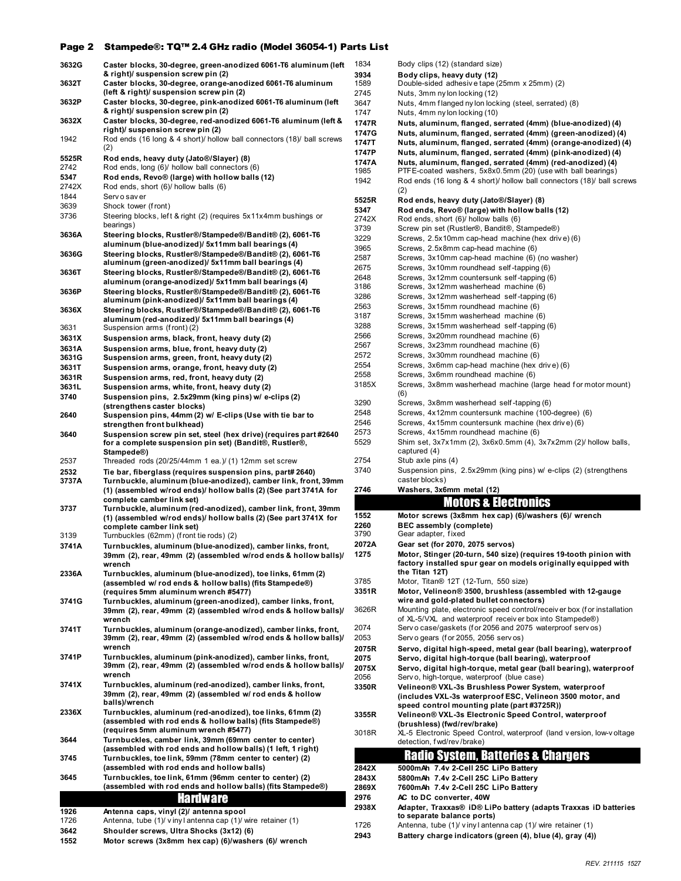#### Page 2 Stampede®: TQ™ 2.4 GHz radio (Model 36054-1) Parts List

| 3632G         | Caster blocks, 30-degree, green-anodized 6061-T6 aluminum (left                                                        |
|---------------|------------------------------------------------------------------------------------------------------------------------|
| 3632T         | & right)/ suspension screw pin (2)<br>Caster blocks, 30-degree, orange-anodized 6061-T6 aluminum                       |
|               | (left & right)/ suspension screw pin (2)                                                                               |
| 3632P         | Caster blocks, 30-degree, pink-anodized 6061-T6 aluminum (left                                                         |
|               | & right)/ suspension screw pin (2)                                                                                     |
| 3632X         | Caster blocks, 30-degree, red-anodized 6061-T6 aluminum (left &                                                        |
| 1942          | right)/ suspension screw pin (2)<br>Rod ends (16 long & 4 short)/ hollow ball connectors (18)/ ball screws             |
|               | (2)                                                                                                                    |
| 5525R         | Rod ends, heavy duty (Jato®/Slayer) (8)                                                                                |
| 2742          | Rod ends, long (6)/ hollow ball connectors (6)                                                                         |
| 5347          | Rod ends, Revo® (large) with hollow balls (12)                                                                         |
| 2742X<br>1844 | Rod ends, short (6)/ hollow balls (6)<br>Serv o sav er                                                                 |
| 3639          | Shock tower (front)                                                                                                    |
| 3736          | Steering blocks, left & right (2) (requires 5x11x4mm bushings or                                                       |
|               | bearings)                                                                                                              |
| 3636A         | Steering blocks, Rustler®/Stampede®/Bandit® (2), 6061-T6                                                               |
|               | aluminum (blue-anodized)/ 5x11mm ball bearings (4)                                                                     |
| 3636G         | Steering blocks, Rustler®/Stampede®/Bandit® (2), 6061-T6<br>aluminum (green-anodized)/ 5x11mm ball bearings (4)        |
| 3636T         | Steering blocks, Rustler®/Stampede®/Bandit® (2), 6061-T6                                                               |
|               | aluminum (orange-anodized)/ 5x11mm ball bearings (4)                                                                   |
| 3636P         | Steering blocks, Rustler®/Stampede®/Bandit® (2), 6061-T6                                                               |
|               | aluminum (pink-anodized)/ 5x11mm ball bearings (4)                                                                     |
| 3636X         | Steering blocks, Rustler®/Stampede®/Bandit® (2), 6061-T6<br>aluminum (red-anodized)/ 5x11mm ball bearings (4)          |
| 3631          | Suspension arms (front) (2)                                                                                            |
| 3631X         | Suspension arms, black, front, heavy duty (2)                                                                          |
| 3631A         | Suspension arms, blue, front, heavy duty (2)                                                                           |
| 3631G         | Suspension arms, green, front, heavy duty (2)                                                                          |
| 3631T         | Suspension arms, orange, front, heavy duty (2)                                                                         |
| 3631R         | Suspension arms, red, front, heavy duty (2)                                                                            |
| 3631L<br>3740 | Suspension arms, white, front, heavy duty (2)<br>Suspension pins, 2.5x29mm (king pins) w/ e-clips (2)                  |
|               | (strengthens caster blocks)                                                                                            |
| 2640          | Suspension pins, 44mm (2) w/ E-clips (Use with tie bar to                                                              |
|               | strengthen front bulkhead)                                                                                             |
| 3640          | Suspension screw pin set, steel (hex drive) (requires part #2640                                                       |
|               | for a complete suspension pin set) (Bandit®, Rustler®,<br>Stampede®)                                                   |
| 2537          | Threaded rods $(20/25/44$ mm 1 ea.) $/$ (1) 12mm set screw                                                             |
| 2532          | Tie bar, fiberglass (requires suspension pins, part# 2640)                                                             |
| 3737A         | Turnbuckle, aluminum (blue-anodized), camber link, front, 39mm                                                         |
|               | (1) (assembled w/rod ends)/ hollow balls (2) (See part 3741A for                                                       |
| 3737          | complete camber link set)<br>Turnbuckle, aluminum (red-anodized), camber link, front, 39mm                             |
|               | (1) (assembled w/rod ends)/ hollow balls (2) (See part 3741X for                                                       |
|               | complete camber link set)                                                                                              |
| 3139          | Turnbuckles (62mm) (front tie rods) (2)                                                                                |
| 3741A         | Turnbuckles, aluminum (blue-anodized), camber links, front,                                                            |
|               | 39mm (2), rear, 49mm (2) (assembled w/rod ends & hollow balls)/<br>wrench                                              |
| 2336A         | Turnbuckles, aluminum (blue-anodized), toe links, 61mm (2)                                                             |
|               | (assembled w/ rod ends & hollow balls) (fits Stampede®)                                                                |
|               | (requires 5mm aluminum wrench #5477)                                                                                   |
| 3741G         | Turnbuckles, aluminum (green-anodized), camber links, front,                                                           |
|               | 39mm (2), rear, 49mm (2) (assembled w/rod ends & hollow balls)/<br>wrench                                              |
| 3741T         | Turnbuckles, aluminum (orange-anodized), camber links, front,                                                          |
|               | 39mm (2), rear, 49mm (2) (assembled w/rod ends & hollow balls)/                                                        |
|               | wrench                                                                                                                 |
| 3741P         | Turnbuckles, aluminum (pink-anodized), camber links, front,                                                            |
|               | 39mm (2), rear, 49mm (2) (assembled w/rod ends & hollow balls)/<br>wrench                                              |
| 3741X         | Turnbuckles, aluminum (red-anodized), camber links, front,                                                             |
|               | 39mm (2), rear, 49mm (2) (assembled w/ rod ends & hollow                                                               |
|               | balls)/wrench                                                                                                          |
| 2336X         | Turnbuckles, aluminum (red-anodized), toe links, 61mm (2)<br>(assembled with rod ends & hollow balls) (fits Stampede®) |
|               | (requires 5mm aluminum wrench #5477)                                                                                   |
| 3644          | Turnbuckles, camber link, 39mm (69mm center to center)                                                                 |
|               | (assembled with rod ends and hollow balls) (1 left, 1 right)                                                           |
| 3745          | Turnbuckles, toe link, 59mm (78mm center to center) (2)                                                                |
|               | (assembled with rod ends and hollow balls)                                                                             |
| 3645          | Turnbuckles, toe link, 61mm (96mm center to center) (2)<br>(assembled with rod ends and hollow balls) (fits Stampede®) |
|               | <b>Hardware</b>                                                                                                        |
|               |                                                                                                                        |
| 1926<br>1726  | Antenna caps, vinyl (2)/ antenna spool<br>Antenna, tube (1)/ viny lantenna cap (1)/ wire retainer (1)                  |
| 3642          | Shoulder screws, Ultra Shocks (3x12) (6)                                                                               |
|               |                                                                                                                        |

| ---  | $\frac{1}{2}$                                        |
|------|------------------------------------------------------|
| 1552 | Motor screws (3x8mm hex cap) (6)/washers (6)/ wrench |

| 1834           | Body clips (12) (standard size)                                                                                                    |
|----------------|------------------------------------------------------------------------------------------------------------------------------------|
| 3934           | Body clips, heavy duty (12)                                                                                                        |
| 1589           | Double-sided adhesive tape (25mm x 25mm) (2)                                                                                       |
| 2745           | Nuts, 3mm ny lon locking (12)                                                                                                      |
| 3647           | Nuts, 4mm flanged ny lon locking (steel, serrated) (8)                                                                             |
| 1747           | Nuts, 4mm ny lon locking (10)                                                                                                      |
| 1747R          | Nuts, aluminum, flanged, serrated (4mm) (blue-anodized) (4)                                                                        |
| 1747G<br>1747T | Nuts, aluminum, flanged, serrated (4mm) (green-anodized) (4)<br>Nuts, aluminum, flanged, serrated (4mm) (orange-anodized) (4)      |
| 1747P          | Nuts, aluminum, flanged, serrated (4mm) (pink-anodized) (4)                                                                        |
| 1747A          | Nuts, aluminum, flanged, serrated (4mm) (red-anodized) (4)                                                                         |
| 1985           | PTFE-coated washers, 5x8x0.5mm (20) (use with ball bearings)                                                                       |
| 1942           | Rod ends (16 long & 4 short)/ hollow ball connectors (18)/ ball screws                                                             |
|                | (2)                                                                                                                                |
| 5525R<br>5347  | Rod ends, heavy duty (Jato®/Slayer) (8)<br>Rod ends, Revo® (large) with hollow balls (12)                                          |
| 2742X          | Rod ends, short (6)/ hollow balls (6)                                                                                              |
| 3739           | Screw pin set (Rustler®, Bandit®, Stampede®)                                                                                       |
| 3229           | Screws, 2.5x10mm cap-head machine (hex drive) (6)                                                                                  |
| 3965           | Screws, 2.5x8mm cap-head machine (6)                                                                                               |
| 2587           | Screws, 3x10mm cap-head machine (6) (no washer)                                                                                    |
| 2675<br>2648   | Screws, 3x10mm roundhead self-tapping (6)<br>Screws, 3x12mm countersunk self-tapping (6)                                           |
| 3186           | Screws, 3x12mm washerhead machine (6)                                                                                              |
| 3286           | Screws, 3x12mm washerhead self-tapping (6)                                                                                         |
| 2563           | Screws, 3x15mm roundhead machine (6)                                                                                               |
| 3187           | Screws, 3x15mm washerhead machine (6)                                                                                              |
| 3288           | Screws, 3x15mm washerhead self-tapping (6)                                                                                         |
| 2566<br>2567   | Screws. 3x20mm roundhead machine (6)<br>Screws, 3x23mm roundhead machine (6)                                                       |
| 2572           | Screws, 3x30mm roundhead machine (6)                                                                                               |
| 2554           | Screws, 3x6mm cap-head machine (hex drive) (6)                                                                                     |
| 2558           | Screws, 3x6mm roundhead machine (6)                                                                                                |
| 3185X          | Screws, 3x8mm washerhead machine (large head for motor mount)                                                                      |
| 3290           | (6)                                                                                                                                |
| 2548           | Screws, 3x8mm washerhead self-tapping (6)<br>Screws, 4x12mm countersunk machine (100-degree) (6)                                   |
| 2546           | Screws, 4x15mm countersunk machine (hex drive) (6)                                                                                 |
| 2573           | Screws, 4x15mm roundhead machine (6)                                                                                               |
|                |                                                                                                                                    |
| 5529           | Shim set, 3x7x1mm (2), 3x6x0.5mm (4), 3x7x2mm (2)/ hollow balls,                                                                   |
|                | captured (4)                                                                                                                       |
| 2754           | Stub axle pins (4)                                                                                                                 |
| 3740           | Suspension pins, 2.5x29mm (king pins) w/ e-clips (2) (strengthens<br>caster blocks)                                                |
| 2746           | Washers, 3x6mm metal (12)                                                                                                          |
|                | <b>Motors &amp; Electronics</b>                                                                                                    |
| 1552           | Motor screws (3x8mm hex cap) (6)/washers (6)/ wrench                                                                               |
| 2260           | BEC assembly (complete)                                                                                                            |
| 3790           | Gear adapter, fixed                                                                                                                |
| 2072A          | Gear set (for 2070, 2075 servos)                                                                                                   |
| 1275           | Motor, Stinger (20-turn, 540 size) (requires 19-tooth pinion with                                                                  |
|                | factory installed spur gear on models originally equipped with<br>the Titan 12T)                                                   |
| 3785           | Motor, Titan® 12T (12-Turn, 550 size)                                                                                              |
| 3351R          | Motor, Velineon® 3500, brushless (assembled with 12-gauge                                                                          |
|                | wire and gold-plated bullet connectors)                                                                                            |
| 3626R          | Mounting plate, electronic speed control/receiver box (for installation<br>of XL-5/VXL and waterproof receiver box into Stampede®) |
| 2074           | Serv o case/gaskets (for 2056 and 2075 waterproof serv os)                                                                         |
| 2053           | Serv o gears (for 2055, 2056 serv os)                                                                                              |
| 2075R          | Servo, digital high-speed, metal gear (ball bearing), waterproof                                                                   |
| 2075           | Servo, digital high-torque (ball bearing), waterproof                                                                              |
| 2075X          | Servo, digital high-torque, metal gear (ball bearing), waterproof                                                                  |
| 2056<br>3350R  | Serv o, high-torque, waterproof (blue case)<br>Velineon® VXL-3s Brushless Power System, waterproof                                 |
|                | (includes VXL-3s waterproof ESC, Velineon 3500 motor, and                                                                          |
|                | speed control mounting plate (part #3725R))                                                                                        |
| 3355R          | Velineon® VXL-3s Electronic Speed Control, waterproof                                                                              |
| 3018R          | (brushless) (fwd/rev/brake)<br>XL-5 Electronic Speed Control, waterproof (land version, low-voltage                                |
|                | detection, fwd/rev/brake)                                                                                                          |
|                | <u> Radio System, Batteries &amp; Chargers</u>                                                                                     |
| 2842X          | 5000mAh 7.4v 2-Cell 25C LiPo Battery                                                                                               |
| 2843X          | 5800mAh 7.4v 2-Cell 25C LiPo Battery                                                                                               |
| 2869X          | 7600mAh 7.4v 2-Cell 25C LiPo Battery                                                                                               |
| 2976<br>2938X  | AC to DC converter, 40W<br>Adapter, Traxxas® iD® LiPo battery (adapts Traxxas iD batteries                                         |

1726 Antenna, tube (1)/ v iny l antenna cap (1)/ wire retainer (1) **2943 Battery charge indicators (green (4), blue (4), gray (4))**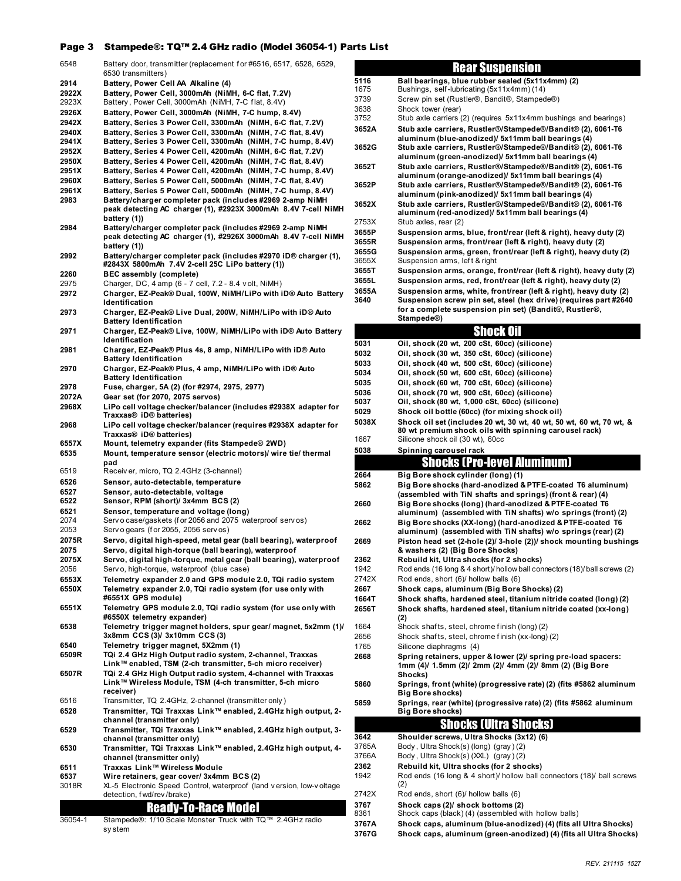### Page 3 Stampede®: TQ™ 2.4 GHz radio (Model 36054-1) Parts List

| 6548           | Battery door, transmitter (replacement for #6516, 6517, 6528, 6529,                                                          |                |
|----------------|------------------------------------------------------------------------------------------------------------------------------|----------------|
| 2914           | 6530 transmitters)<br>Battery, Power Cell AA Alkaline (4)                                                                    | 51             |
| 2922X          | Battery, Power Cell, 3000mAh (NiMH, 6-C flat, 7.2V)                                                                          | 16             |
| 2923X          | Battery, Power Cell, 3000mAh (NiMH, 7-C flat, 8.4V)                                                                          | 37             |
| 2926X          | Battery, Power Cell, 3000mAh (NiMH, 7-C hump, 8.4V)                                                                          | 36<br>37       |
| 2942X<br>2940X | Battery, Series 3 Power Cell, 3300mAh (NiMH, 6-C flat, 7.2V)<br>Battery, Series 3 Power Cell, 3300mAh (NiMH, 7-C flat, 8.4V) | 30             |
| 2941X          | Battery, Series 3 Power Cell, 3300mAh (NiMH, 7-C hump, 8.4V)                                                                 |                |
| 2952X          | Battery, Series 4 Power Cell, 4200mAh (NiMH, 6-C flat, 7.2V)                                                                 | 30             |
| 2950X          | Battery, Series 4 Power Cell, 4200mAh (NiMH, 7-C flat, 8.4V)                                                                 | 30             |
| 2951X          | Battery, Series 4 Power Cell, 4200mAh (NiMH, 7-C hump, 8.4V)                                                                 |                |
| 2960X<br>2961X | Battery, Series 5 Power Cell, 5000mAh (NiMH, 7-C flat, 8.4V)<br>Battery, Series 5 Power Cell, 5000mAh (NiMH, 7-C hump, 8.4V) | 30             |
| 2983           | Battery/charger completer pack (includes #2969 2-amp NiMH                                                                    |                |
|                | peak detecting AC charger (1), #2923X 3000mAh 8.4V 7-cell NiMH                                                               | 30             |
|                | battery (1))                                                                                                                 | 27             |
| 2984           | Battery/charger completer pack (includes #2969 2-amp NiMH<br>peak detecting AC charger (1), #2926X 3000mAh 8.4V 7-cell NiMH  | 30             |
|                | battery (1))                                                                                                                 | 30             |
| 2992           | Battery/charger completer pack (includes #2970 iD® charger (1),                                                              | 30<br>36       |
|                | #2843X 5800mAh 7.4V 2-cell 25C LiPo battery (1))                                                                             | 3              |
| 2260<br>2975   | BEC assembly (complete)<br>Charger, DC, 4 amp (6 - 7 cell, 7.2 - 8.4 volt, NiMH)                                             | 3              |
| 2972           | Charger, EZ-Peak® Dual, 100W, NiMH/LiPo with iD® Auto Battery                                                                | 30             |
|                | Identification                                                                                                               | 30             |
| 2973           | Charger, EZ-Peak® Live Dual, 200W, NiMH/LiPo with iD® Auto                                                                   |                |
| 2971           | <b>Battery Identification</b><br>Charger, EZ-Peak® Live, 100W, NiMH/LiPo with iD® Auto Battery                               |                |
|                | Identification                                                                                                               | 50             |
| 2981           | Charger, EZ-Peak® Plus 4s, 8 amp, NiMH/LiPo with iD® Auto                                                                    | 50             |
|                | <b>Battery Identification</b>                                                                                                | 50             |
| 2970           | Charger, EZ-Peak® Plus, 4 amp, NiMH/LiPo with iD® Auto<br><b>Battery Identification</b>                                      | 50             |
| 2978           | Fuse, charger, 5A (2) (for #2974, 2975, 2977)                                                                                | 50             |
| 2072A          | Gear set (for 2070, 2075 servos)                                                                                             | 50<br>50       |
| 2968X          | LiPo cell voltage checker/balancer (includes #2938X adapter for<br>Traxxas® iD® batteries)                                   | 50             |
| 2968           | LiPo cell voltage checker/balancer (requires #2938X adapter for                                                              | 50             |
|                | Traxxas® iD® batteries)                                                                                                      | 16             |
| 6557X          | Mount, telemetry expander (fits Stampede® 2WD)                                                                               |                |
|                |                                                                                                                              |                |
| 6535           | Mount, temperature sensor (electric motors)/ wire tie/ thermal                                                               | 50             |
| 6519           | pad<br>Receiver, micro, TQ 2.4GHz (3-channel)                                                                                |                |
| 6526           | Sensor, auto-detectable, temperature                                                                                         | 20             |
| 6527           | Sensor, auto-detectable, voltage                                                                                             | 58             |
| 6522           | Sensor, RPM (short)/ 3x4mm BCS (2)                                                                                           | 20             |
| 6521<br>2074   | Sensor, temperature and voltage (long)                                                                                       |                |
| 2053           | Serv o case/gaskets (for 2056 and 2075 waterproof serv os)<br>Serv o gears (for 2055, 2056 serv os)                          | 20             |
| 2075R          | Servo, digital high-speed, metal gear (ball bearing), waterproof                                                             | 20             |
| 2075           | Servo, digital high-torque (ball bearing), waterproof                                                                        |                |
| 2075X          | Servo, digital high-torque, metal gear (ball bearing), waterproof                                                            | 23             |
| 2056<br>6553X  | Serv o, high-torque, waterproof (blue case)                                                                                  | 19<br>27       |
| 6550X          | Telemetry expander 2.0 and GPS module 2.0, TQi radio system<br>Telemetry expander 2.0, TQi radio system (for use only with   | 2              |
|                | #6551X GPS module)                                                                                                           | 10             |
| 6551X          | Telemetry GPS module 2.0, TQi radio system (for use only with                                                                | 20             |
| 6538           | #6550X telemetry expander)<br>Telemetry trigger magnet holders, spur gear/ magnet, 5x2mm (1)/                                | 16             |
|                | 3x8mm CCS (3)/ 3x10mm CCS (3)                                                                                                | 26             |
| 6540           | Telemetry trigger magnet, 5X2mm (1)                                                                                          | 17             |
| 6509R          | TQi 2.4 GHz High Output radio system, 2-channel, Traxxas                                                                     | 2              |
| 6507R          | Link™ enabled, TSM (2-ch transmitter, 5-ch micro receiver)<br>TQi 2.4 GHz High Output radio system, 4-channel with Traxxas   |                |
|                | Link™ Wireless Module, TSM (4-ch transmitter, 5-ch micro                                                                     | 58             |
|                | receiver)                                                                                                                    |                |
| 6516           | Transmitter, TQ 2.4GHz, 2-channel (transmitter only)                                                                         | 58             |
| 6528           | Transmitter, TQi Traxxas Link™ enabled, 2.4GHz high output, 2-<br>channel (transmitter only)                                 |                |
| 6529           | Transmitter, TQi Traxxas Link™ enabled, 2.4GHz high output, 3-                                                               |                |
|                | channel (transmitter only)                                                                                                   | 30<br>37       |
| 6530           | Transmitter, TQi Traxxas Link™ enabled, 2.4GHz high output, 4-<br>channel (transmitter only)                                 | 37             |
| 6511           | Traxxas Link™ Wireless Module                                                                                                | 23             |
| 6537           | Wire retainers, gear cover/3x4mm BCS(2)                                                                                      | 19             |
| 3018R          | XL-5 Electronic Speed Control, waterproof (land version, low-voltage                                                         | $\overline{2}$ |
|                | detection, fwd/rev/brake)                                                                                                    | 3              |
|                | <b>Ready-To-Race Model</b>                                                                                                   | 8.             |
| 36054-1        | Stampede®: 1/10 Scale Monster Truck with TQ™ 2.4GHz radio<br>system                                                          | 3,<br>31       |

## Rear Suspension

| 5116  | Ball bearings, blue rubber sealed (5x11x4mm) (2)                                                                                      |
|-------|---------------------------------------------------------------------------------------------------------------------------------------|
| 1675  | Bushings, self-lubricating (5x11x4mm) (14)                                                                                            |
| 3739  | Screw pin set (Rustler®, Bandit®, Stampede®)                                                                                          |
| 3638  | Shock tower (rear)                                                                                                                    |
| 3752  | Stub axle carriers (2) (requires 5x11x4mm bushings and bearings)                                                                      |
|       |                                                                                                                                       |
| 3652A | Stub axle carriers, Rustler®/Stampede®/Bandit® (2), 6061-T6                                                                           |
|       | aluminum (blue-anodized)/ 5x11mm ball bearings (4)                                                                                    |
| 3652G | Stub axle carriers, Rustler®/Stampede®/Bandit® (2), 6061-T6                                                                           |
|       | aluminum (green-anodized)/ 5x11mm ball bearings (4)                                                                                   |
| 3652T | Stub axle carriers, Rustler®/Stampede®/Bandit® (2), 6061-T6                                                                           |
|       |                                                                                                                                       |
|       | aluminum (orange-anodized)/ 5x11mm ball bearings (4)                                                                                  |
| 3652P | Stub axle carriers, Rustler®/Stampede®/Bandit® (2), 6061-T6                                                                           |
|       | aluminum (pink-anodized)/ 5x11mm ball bearings (4)                                                                                    |
| 3652X | Stub axle carriers, Rustler®/Stampede®/Bandit® (2), 6061-T6                                                                           |
|       | aluminum (red-anodized)/ 5x11mm ball bearings (4)                                                                                     |
| 2753X | Stub axles, rear (2)                                                                                                                  |
| 3655P | Suspension arms, blue, front/rear (left & right), heavy duty (2)                                                                      |
|       |                                                                                                                                       |
| 3655R | Suspension arms, front/rear (left & right), heavy duty (2)                                                                            |
| 3655G | Suspension arms, green, front/rear (left & right), heavy duty (2)                                                                     |
| 3655X | Suspension arms, left & right                                                                                                         |
| 3655T | Suspension arms, orange, front/rear (left & right), heavy duty (2)                                                                    |
| 3655L | Suspension arms, red, front/rear (left & right), heavy duty (2)                                                                       |
|       |                                                                                                                                       |
| 3655A | Suspension arms, white, front/rear (left & right), heavy duty (2)                                                                     |
| 3640  | Suspension screw pin set, steel (hex drive) (requires part #2640                                                                      |
|       | for a complete suspension pin set) (Bandit®, Rustler®,                                                                                |
|       | Stampede®)                                                                                                                            |
|       |                                                                                                                                       |
|       | Shock Oil                                                                                                                             |
| 5031  | Oil, shock (20 wt, 200 cSt, 60cc) (silicone)                                                                                          |
| 5032  | Oil, shock (30 wt, 350 cSt, 60cc) (silicone)                                                                                          |
| 5033  | Oil, shock (40 wt, 500 cSt, 60cc) (silicone)                                                                                          |
|       |                                                                                                                                       |
| 5034  | Oil, shock (50 wt, 600 cSt, 60cc) (silicone)                                                                                          |
| 5035  | Oil, shock (60 wt, 700 cSt, 60cc) (silicone)                                                                                          |
| 5036  | Oil, shock (70 wt, 900 cSt, 60cc) (silicone)                                                                                          |
| 5037  | Oil, shock (80 wt, 1,000 cSt, 60cc) (silicone)                                                                                        |
| 5029  | Shock oil bottle (60cc) (for mixing shock oil)                                                                                        |
| 5038X | Shock oil set (includes 20 wt, 30 wt, 40 wt, 50 wt, 60 wt, 70 wt, &                                                                   |
|       |                                                                                                                                       |
|       | 80 wt premium shock oils with spinning carousel rack)                                                                                 |
| 1667  | Silicone shock oil (30 wt), 60cc                                                                                                      |
| 5038  | Spinning carousel rack                                                                                                                |
|       |                                                                                                                                       |
|       |                                                                                                                                       |
|       | Shocks (Pro-level Aluminum)                                                                                                           |
| 2664  | Big Bore shock cylinder (long) (1)                                                                                                    |
| 5862  | Big Bore shocks (hard-anodized & PTFE-coated T6 aluminum)                                                                             |
|       | (assembled with TiN shafts and springs) (front & rear) (4)                                                                            |
| 2660  | Big Bore shocks (long) (hard-anodized & PTFE-coated T6                                                                                |
|       |                                                                                                                                       |
|       | aluminum) (assembled with TiN shafts) w/o springs (front) (2)                                                                         |
| 2662  | Big Bore shocks (XX-long) (hard-anodized & PTFE-coated T6                                                                             |
|       | aluminum) (assembled with TiN shafts) w/o springs (rear) (2)                                                                          |
| 2669  | Piston head set (2-hole (2)/ 3-hole (2))/ shock mounting bushings                                                                     |
|       | & washers (2) (Big Bore Shocks)                                                                                                       |
| 2362  | Rebuild kit, Ultra shocks (for 2 shocks)                                                                                              |
| 1942  | Rod ends (16 long & 4 short)/ hollow ball connectors (18)/ ball screws (2)                                                            |
|       |                                                                                                                                       |
| 2742X | Rod ends, short (6)/ hollow balls (6)                                                                                                 |
| 2667  | Shock caps, aluminum (Big Bore Shocks) (2)                                                                                            |
| 1664T | Shock shafts, hardened steel, titanium nitride coated (long) (2)                                                                      |
| 2656T | Shock shafts, hardened steel, titanium nitride coated (xx-long)                                                                       |
|       | (2)                                                                                                                                   |
| 1664  | Shock shafts, steel, chrome finish (long) (2)                                                                                         |
| 2656  | Shock shafts, steel, chrome finish (xx-long) (2)                                                                                      |
|       |                                                                                                                                       |
| 1765  | Silicone diaphragms (4)                                                                                                               |
| 2668  | Spring retainers, upper & lower (2)/ spring pre-load spacers:                                                                         |
|       | 1mm (4)/ 1.5mm (2)/ 2mm (2)/ 4mm (2)/ 8mm (2) (Big Bore                                                                               |
|       | Shocks)                                                                                                                               |
| 5860  | Springs, front (white) (progressive rate) (2) (fits #5862 aluminum                                                                    |
|       | <b>Big Bore shocks)</b>                                                                                                               |
| 5859  | Springs, rear (white) (progressive rate) (2) (fits #5862 aluminum                                                                     |
|       | Big Bore shocks)                                                                                                                      |
|       |                                                                                                                                       |
|       | <b>Shocks (Ultra Shocks)</b>                                                                                                          |
| 3642  | Shoulder screws, Ultra Shocks (3x12) (6)                                                                                              |
| 3765A | Body, Ultra Shock(s) (long) (gray) (2)                                                                                                |
| 3766A |                                                                                                                                       |
|       | Body, Ultra Shock(s) (XXL) (gray) (2)                                                                                                 |
| 2362  | Rebuild kit, Ultra shocks (for 2 shocks)                                                                                              |
| 1942  | Rod ends (16 long & 4 short)/ hollow ball connectors (18)/ ball screws                                                                |
|       | (2)                                                                                                                                   |
| 2742X | Rod ends, short (6)/ hollow balls (6)                                                                                                 |
| 3767  | Shock caps (2)/ shock bottoms (2)                                                                                                     |
| 8361  | Shock caps (black) (4) (assembled with hollow balls)                                                                                  |
| 3767A |                                                                                                                                       |
| 3767G | Shock caps, aluminum (blue-anodized) (4) (fits all Ultra Shocks)<br>Shock caps, aluminum (green-anodized) (4) (fits all Ultra Shocks) |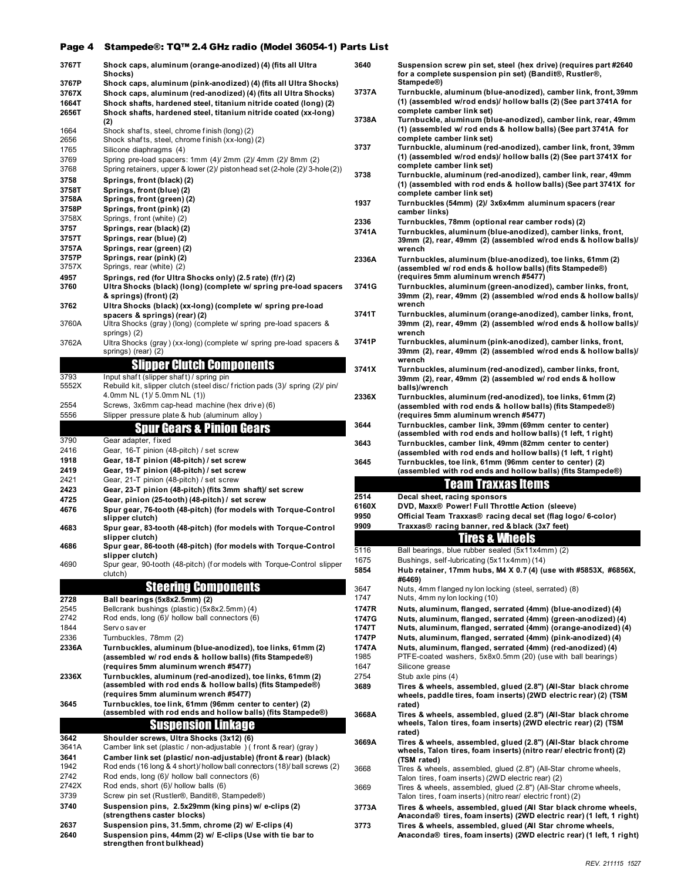### Page 4 Stampede®: TQ™ 2.4 GHz radio (Model 36054-1) Parts List

|       | Shock caps, aluminum (orange-anodized) (4) (fits all Ultra                              | 364 |
|-------|-----------------------------------------------------------------------------------------|-----|
| 3767T | Shocks)                                                                                 |     |
| 3767P | Shock caps, aluminum (pink-anodized) (4) (fits all Ultra Shocks)                        |     |
| 3767X | Shock caps, aluminum (red-anodized) (4) (fits all Ultra Shocks)                         | 373 |
| 1664T | Shock shafts, hardened steel, titanium nitride coated (long) (2)                        |     |
| 2656T | Shock shafts, hardened steel, titanium nitride coated (xx-long)                         |     |
|       | (2)                                                                                     | 373 |
| 1664  | Shock shafts, steel, chrome finish (long) (2)                                           |     |
| 2656  | Shock shafts, steel, chrome finish (xx-long) (2)                                        |     |
| 1765  | Silicone diaphragms (4)                                                                 | 373 |
| 3769  | Spring pre-load spacers: 1mm (4)/ 2mm (2)/ 4mm (2)/ 8mm (2)                             |     |
| 3768  | Spring retainers, upper & lower (2)/ piston head set (2-hole (2)/3-hole (2))            | 373 |
| 3758  | Springs, front (black) (2)                                                              |     |
| 3758T | Springs, front (blue) (2)                                                               |     |
| 3758A | Springs, front (green) (2)                                                              | 193 |
| 3758P | Springs, front (pink) (2)                                                               |     |
| 3758X | Springs, front (white) (2)                                                              | 233 |
| 3757  | Springs, rear (black) (2)                                                               | 374 |
| 3757T | Springs, rear (blue) (2)                                                                |     |
| 3757A | Springs, rear (green) (2)                                                               |     |
| 3757P | Springs, rear (pink) (2)                                                                | 233 |
| 3757X | Springs, rear (white) (2)                                                               |     |
| 4957  | Springs, red (for Ultra Shocks only) (2.5 rate) (f/r) (2)                               |     |
| 3760  | Ultra Shocks (black) (long) (complete w/ spring pre-load spacers                        | 374 |
|       | & springs) (front) (2)                                                                  |     |
| 3762  | Ultra Shocks (black) (xx-long) (complete w/ spring pre-load                             |     |
|       | spacers & springs) (rear) (2)                                                           | 374 |
| 3760A | Ultra Shocks (gray) (long) (complete w/ spring pre-load spacers &                       |     |
|       | springs) (2)                                                                            |     |
| 3762A | Ultra Shocks (gray) (xx-long) (complete w/ spring pre-load spacers &                    | 374 |
|       | springs) (rear) (2)                                                                     |     |
|       | <b>Slipper Clutch Components</b>                                                        | 374 |
| 3793  | Input shaft (slipper shaft) / spring pin                                                |     |
| 5552X | Rebuild kit, slipper clutch (steel disc/ friction pads (3)/ spring (2)/ pin/            |     |
|       | 4.0mm NL (1)/ 5.0mm NL (1))                                                             | 233 |
| 2554  | Screws, 3x6mm cap-head machine (hex drive) (6)                                          |     |
| 5556  | Slipper pressure plate & hub (aluminum alloy)                                           |     |
|       | <b>Spur Gears &amp; Pinion Gears</b>                                                    | 364 |
|       |                                                                                         |     |
| 3790  | Gear adapter, fixed                                                                     | 364 |
| 2416  | Gear, 16-T pinion (48-pitch) / set screw                                                |     |
| 1918  | Gear, 18-T pinion (48-pitch) / set screw                                                | 364 |
| 2419  | Gear, 19-T pinion (48-pitch) / set screw                                                |     |
|       |                                                                                         |     |
| 2421  | Gear, 21-T pinion (48-pitch) / set screw                                                |     |
| 2423  | Gear, 23-T pinion (48-pitch) (fits 3mm shaft)/ set screw                                |     |
| 4725  | Gear, pinion (25-tooth) (48-pitch) / set screw                                          | 251 |
| 4676  | Spur gear, 76-tooth (48-pitch) (for models with Torque-Control                          | 616 |
|       | slipper clutch)                                                                         | 995 |
| 4683  | Spur gear, 83-tooth (48-pitch) (for models with Torque-Control                          | 990 |
|       | slipper clutch)                                                                         |     |
| 4686  | Spur gear, 86-tooth (48-pitch) (for models with Torque-Control                          | 511 |
|       | slipper clutch)                                                                         | 167 |
| 4690  | Spur gear, 90-tooth (48-pitch) (for models with Torque-Control slipper                  | 585 |
|       | clutch)                                                                                 |     |
|       | <b>Steering Components</b>                                                              | 364 |
| 2728  | Ball bearings (5x8x2.5mm) (2)                                                           | 174 |
| 2545  | Bellcrank bushings (plastic) (5x8x2.5mm) (4)                                            | 174 |
| 2742  | Rod ends, long (6)/ hollow ball connectors (6)                                          | 174 |
| 1844  | Serv o sav er                                                                           | 174 |
| 2336  | Turnbuckles, 78mm (2)                                                                   | 174 |
| 2336A | Turnbuckles, aluminum (blue-anodized), toe links, 61mm (2)                              | 174 |
|       | (assembled w/ rod ends & hollow balls) (fits Stampede®)                                 | 198 |
|       | (requires 5mm aluminum wrench #5477)                                                    | 164 |
| 2336X | Turnbuckles, aluminum (red-anodized), toe links, 61mm (2)                               | 275 |
|       | (assembled with rod ends & hollow balls) (fits Stampede®)                               | 368 |
|       | (requires 5mm aluminum wrench #5477)                                                    |     |
| 3645  | Turnbuckles, toe link, 61mm (96mm center to center) (2)                                 |     |
|       | (assembled with rod ends and hollow balls) (fits Stampede®)                             | 366 |
|       | <b>Suspension Linkage</b>                                                               |     |
| 3642  | Shoulder screws, Ultra Shocks (3x12) (6)                                                |     |
| 3641A | Camber link set (plastic / non-adjustable ) (front & rear) (gray)                       | 366 |
| 3641  | Camber link set (plastic/ non-adjustable) (front & rear) (black)                        |     |
| 1942  | Rod ends (16 long & 4 short)/ hollow ball connectors (18)/ ball screws (2)              | 366 |
| 2742  | Rod ends, long (6)/ hollow ball connectors (6)                                          |     |
| 2742X | Rod ends, short (6)/ hollow balls (6)                                                   | 366 |
| 3739  | Screw pin set (Rustler®, Bandit®, Stampede®)                                            |     |
| 3740  | Suspension pins, 2.5x29mm (king pins) w/ e-clips (2)                                    | 377 |
|       | (strengthens caster blocks)                                                             |     |
| 2637  | Suspension pins, 31.5mm, chrome (2) w/ E-clips (4)                                      | 377 |
| 2640  | Suspension pins, 44mm (2) w/ E-clips (Use with tie bar to<br>strengthen front bulkhead) |     |

| 3640                  | Suspension screw pin set, steel (hex drive) (requires part #2640<br>for a complete suspension pin set) (Bandit®, Rustler®,<br>Stampede®)                                                                  |
|-----------------------|-----------------------------------------------------------------------------------------------------------------------------------------------------------------------------------------------------------|
| 3737A                 | Turnbuckle, aluminum (blue-anodized), camber link, front, 39mm<br>(1) (assembled w/rod ends)/ hollow balls (2) (See part 3741A for<br>complete camber link set)                                           |
| 3738A                 | Turnbuckle, aluminum (blue-anodized), camber link, rear, 49mm<br>(1) (assembled w/ rod ends & hollow balls) (See part 3741A for<br>complete camber link set)                                              |
| 3737                  | Turnbuckle, aluminum (red-anodized), camber link, front, 39mm<br>(1) (assembled w/rod ends)/            hollow balls (2) (See part 3741X for<br>complete camber link set)                                 |
| 3738                  | Turnbuckle, aluminum (red-anodized), camber link, rear, 49mm<br>(1) (assembled with rod ends & hollow balls) (See part 3741X for<br>complete camber link set)                                             |
| 1937                  | Turnbuckles (54mm) (2)/ 3x6x4mm aluminum spacers (rear<br>camber links)                                                                                                                                   |
| 2336                  | Turnbuckles, 78mm (optional rear camber rods) (2)                                                                                                                                                         |
| 3741A                 | Turnbuckles, aluminum (blue-anodized), camber links, front,<br>39mm (2), rear, 49mm (2) (assembled w/rod ends & hollow balls)/<br>wrench                                                                  |
| 2336A                 | Turnbuckles, aluminum (blue-anodized), toe links, 61mm (2)<br>(assembled w/ rod ends & hollow balls) (fits Stampede®)<br>(requires 5mm aluminum wrench #5477)                                             |
| 3741G                 | Turnbuckles, aluminum (green-anodized), camber links, front,<br>39mm (2), rear, 49mm (2) (assembled w/rod ends & hollow balls)/<br>wrench                                                                 |
| 3741T                 | Turnbuckles, aluminum (orange-anodized), camber links, front,<br>39mm (2), rear, 49mm (2) (assembled w/rod ends & hollow balls)/<br>wrench                                                                |
| 3741P                 | Turnbuckles, aluminum (pink-anodized), camber links, front,<br>39mm (2), rear, 49mm (2) (assembled w/rod ends & hollow balls)/<br>wrench                                                                  |
| 3741X                 | Turnbuckles, aluminum (red-anodized), camber links, front,<br>39mm (2), rear, 49mm (2) (assembled w/ rod ends & hollow<br>balls)/wrench                                                                   |
| 2336X                 | Turnbuckles, aluminum (red-anodized), toe links, 61mm (2)<br>(assembled with rod ends & hollow balls) (fits Stampede®)<br>(requires 5mm aluminum wrench #5477)                                            |
| 3644                  | Turnbuckles, camber link, 39mm (69mm center to center)<br>(assembled with rod ends and hollow balls) (1 left, 1 right)                                                                                    |
| 3643                  | Turnbuckles, camber link, 49mm (82mm center to center)<br>(assembled with rod ends and hollow balls) (1 left, 1 right)                                                                                    |
| 3645                  | Turnbuckles, toe link, 61mm (96mm center to center) (2)                                                                                                                                                   |
|                       |                                                                                                                                                                                                           |
|                       | (assembled with rod ends and hollow balls) (fits Stampede®)                                                                                                                                               |
|                       | <u>team traxxas items</u>                                                                                                                                                                                 |
|                       | Decal sheet, racing sponsors                                                                                                                                                                              |
|                       | DVD, Maxx® Power! Full Throttle Action (sleeve)                                                                                                                                                           |
| 2514<br>6160X<br>9950 | Official Team Traxxas® racing decal set (flag logo/ 6-color)                                                                                                                                              |
| 9909                  | Traxxas® racing banner, red & black (3x7 feet)                                                                                                                                                            |
|                       | <b>Tires &amp;</b><br>Wneels                                                                                                                                                                              |
| 5116                  | Ball bearings, blue rubber sealed (5x11x4mm) (2)                                                                                                                                                          |
|                       | Bushings, self-lubricating (5x11x4mm) (14)<br>Hub retainer, 17mm hubs, M4 X 0.7 (4) (use with #5853X, #6856X,                                                                                             |
| 1675<br>5854          | #6469)                                                                                                                                                                                                    |
|                       | Nuts, 4mm flanged ny lon locking (steel, serrated) (8)                                                                                                                                                    |
| 3647<br>1747          | Nuts, 4mm ny lon locking (10)                                                                                                                                                                             |
| 1747R<br>1747G        | Nuts, aluminum, flanged, serrated (4mm) (blue-anodized) (4)                                                                                                                                               |
| 1747T                 | Nuts, aluminum, flanged, serrated (4mm) (green-anodized) (4)<br>Nuts, aluminum, flanged, serrated (4mm) (orange-anodized) (4)                                                                             |
| 1747P                 | Nuts, aluminum, flanged, serrated (4mm) (pink-anodized) (4)                                                                                                                                               |
| 1747A                 | Nuts, aluminum, flanged, serrated (4mm) (red-anodized) (4)                                                                                                                                                |
| 1985                  | PTFE-coated washers, 5x8x0.5mm (20) (use with ball bearings)                                                                                                                                              |
|                       | Silicone grease                                                                                                                                                                                           |
| 1647<br>2754          | Stub axle pins (4)                                                                                                                                                                                        |
| 3689                  | Tires & wheels, assembled, glued (2.8") (All-Star black chrome<br>wheels, paddle tires, foam inserts) (2WD electric rear) (2) (TSM<br>rated)                                                              |
|                       | Tires & wheels, assembled, glued (2.8") (All-Star black chrome<br>wheels, Talon tires, foam inserts) (2WD electric rear) (2) (TSM<br>rated)                                                               |
| 3668A<br>3669A        | Tires & wheels, assembled, glued (2.8") (All-Star black chrome<br>wheels, Talon tires, foam inserts) (nitro rear/ electric front) (2)<br>(TSM rated)                                                      |
| 3668                  | Tires & wheels, assembled, glued (2.8") (All-Star chrome wheels,<br>Talon tires, foam inserts) (2WD electric rear) (2)                                                                                    |
| 3669                  | Tires & wheels, assembled, glued (2.8") (All-Star chrome wheels,<br>Talon tires, foam inserts) (nitro rear/ electric front) (2)                                                                           |
| 3773A                 | Tires & wheels, assembled, glued (All Star black chrome wheels,                                                                                                                                           |
| 3773                  | Anaconda® tires, foam inserts) (2WD electric rear) (1 left, 1 right)<br>Tires & wheels, assembled, glued (All Star chrome wheels,<br>Anaconda® tires, foam inserts) (2WD electric rear) (1 left, 1 right) |